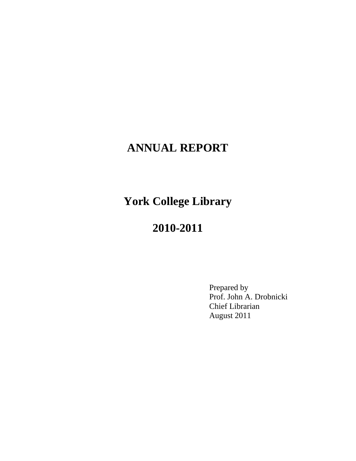# **ANNUAL REPORT**

**York College Library** 

# **2010-2011**

 Prepared by Prof. John A. Drobnicki Chief Librarian August 2011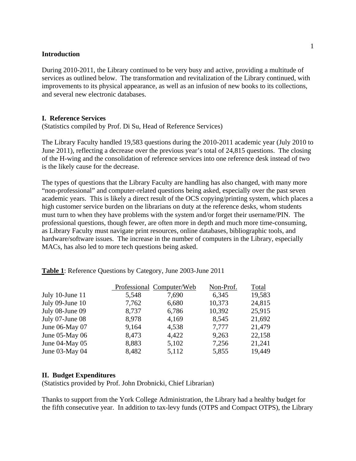#### **Introduction**

During 2010-2011, the Library continued to be very busy and active, providing a multitude of services as outlined below. The transformation and revitalization of the Library continued, with improvements to its physical appearance, as well as an infusion of new books to its collections, and several new electronic databases.

#### **I. Reference Services**

(Statistics compiled by Prof. Di Su, Head of Reference Services)

The Library Faculty handled 19,583 questions during the 2010-2011 academic year (July 2010 to June 2011), reflecting a decrease over the previous year's total of 24,815 questions. The closing of the H-wing and the consolidation of reference services into one reference desk instead of two is the likely cause for the decrease.

The types of questions that the Library Faculty are handling has also changed, with many more "non-professional" and computer-related questions being asked, especially over the past seven academic years. This is likely a direct result of the OCS copying/printing system, which places a high customer service burden on the librarians on duty at the reference desks, whom students must turn to when they have problems with the system and/or forget their username/PIN. The professional questions, though fewer, are often more in depth and much more time-consuming, as Library Faculty must navigate print resources, online databases, bibliographic tools, and hardware/software issues. The increase in the number of computers in the Library, especially MACs, has also led to more tech questions being asked.

|                     |       | Professional Computer/Web | Non-Prof. | Total  |
|---------------------|-------|---------------------------|-----------|--------|
| July 10-June 11     | 5,548 | 7,690                     | 6,345     | 19,583 |
| July 09-June 10     | 7,762 | 6,680                     | 10,373    | 24,815 |
| July 08-June 09     | 8,737 | 6,786                     | 10,392    | 25,915 |
| July 07-June 08     | 8,978 | 4,169                     | 8,545     | 21,692 |
| June 06-May 07      | 9,164 | 4,538                     | 7,777     | 21,479 |
| June $05$ -May $06$ | 8,473 | 4,422                     | 9,263     | 22,158 |
| June $04$ -May $05$ | 8,883 | 5,102                     | 7,256     | 21,241 |
| June 03-May 04      | 8,482 | 5,112                     | 5,855     | 19,449 |

**Table 1**: Reference Questions by Category, June 2003-June 2011

#### **II. Budget Expenditures**

(Statistics provided by Prof. John Drobnicki, Chief Librarian)

Thanks to support from the York College Administration, the Library had a healthy budget for the fifth consecutive year. In addition to tax-levy funds (OTPS and Compact OTPS), the Library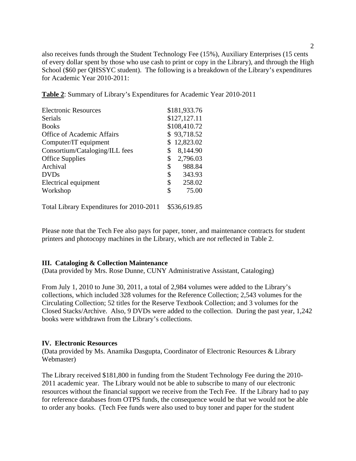also receives funds through the Student Technology Fee (15%), Auxiliary Enterprises (15 cents of every dollar spent by those who use cash to print or copy in the Library), and through the High School (\$60 per QHSSYC student). The following is a breakdown of the Library's expenditures for Academic Year 2010-2011:

**Table 2**: Summary of Library's Expenditures for Academic Year 2010-2011

| <b>Electronic Resources</b>    | \$181,933.76   |
|--------------------------------|----------------|
| <b>Serials</b>                 | \$127,127.11   |
| <b>Books</b>                   | \$108,410.72   |
| Office of Academic Affairs     | \$93,718.52    |
| Computer/IT equipment          | \$12,823.02    |
| Consortium/Cataloging/ILL fees | \$<br>8,144.90 |
| <b>Office Supplies</b>         | \$<br>2,796.03 |
| Archival                       | \$<br>988.84   |
| <b>DVDs</b>                    | \$<br>343.93   |
| Electrical equipment           | \$<br>258.02   |
| Workshop                       | \$<br>75.00    |
|                                |                |

Total Library Expenditures for 2010-2011 \$536,619.85

Please note that the Tech Fee also pays for paper, toner, and maintenance contracts for student printers and photocopy machines in the Library, which are *not* reflected in Table 2.

# **III. Cataloging & Collection Maintenance**

(Data provided by Mrs. Rose Dunne, CUNY Administrative Assistant, Cataloging)

From July 1, 2010 to June 30, 2011, a total of 2,984 volumes were added to the Library's collections, which included 328 volumes for the Reference Collection; 2,543 volumes for the Circulating Collection; 52 titles for the Reserve Textbook Collection; and 3 volumes for the Closed Stacks/Archive. Also, 9 DVDs were added to the collection. During the past year, 1,242 books were withdrawn from the Library's collections.

#### **IV. Electronic Resources**

(Data provided by Ms. Anamika Dasgupta, Coordinator of Electronic Resources & Library Webmaster)

The Library received \$181,800 in funding from the Student Technology Fee during the 2010- 2011 academic year. The Library would not be able to subscribe to many of our electronic resources without the financial support we receive from the Tech Fee. If the Library had to pay for reference databases from OTPS funds, the consequence would be that we would not be able to order any books. (Tech Fee funds were also used to buy toner and paper for the student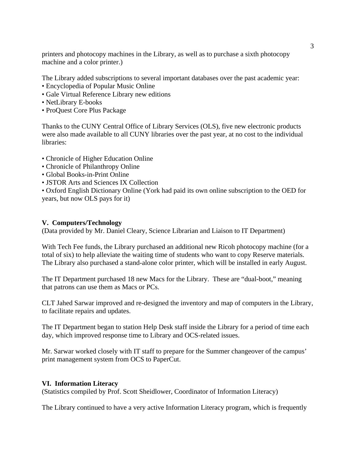printers and photocopy machines in the Library, as well as to purchase a sixth photocopy machine and a color printer.)

The Library added subscriptions to several important databases over the past academic year:

- Encyclopedia of Popular Music Online
- Gale Virtual Reference Library new editions
- NetLibrary E-books
- ProQuest Core Plus Package

Thanks to the CUNY Central Office of Library Services (OLS), five new electronic products were also made available to all CUNY libraries over the past year, at no cost to the individual libraries:

- Chronicle of Higher Education Online
- Chronicle of Philanthropy Online
- Global Books-in-Print Online
- JSTOR Arts and Sciences IX Collection

• Oxford English Dictionary Online (York had paid its own online subscription to the OED for years, but now OLS pays for it)

#### **V. Computers/Technology**

(Data provided by Mr. Daniel Cleary, Science Librarian and Liaison to IT Department)

With Tech Fee funds, the Library purchased an additional new Ricoh photocopy machine (for a total of six) to help alleviate the waiting time of students who want to copy Reserve materials. The Library also purchased a stand-alone color printer, which will be installed in early August.

The IT Department purchased 18 new Macs for the Library. These are "dual-boot," meaning that patrons can use them as Macs or PCs.

CLT Jahed Sarwar improved and re-designed the inventory and map of computers in the Library, to facilitate repairs and updates.

The IT Department began to station Help Desk staff inside the Library for a period of time each day, which improved response time to Library and OCS-related issues.

Mr. Sarwar worked closely with IT staff to prepare for the Summer changeover of the campus' print management system from OCS to PaperCut.

#### **VI. Information Literacy**

(Statistics compiled by Prof. Scott Sheidlower, Coordinator of Information Literacy)

The Library continued to have a very active Information Literacy program, which is frequently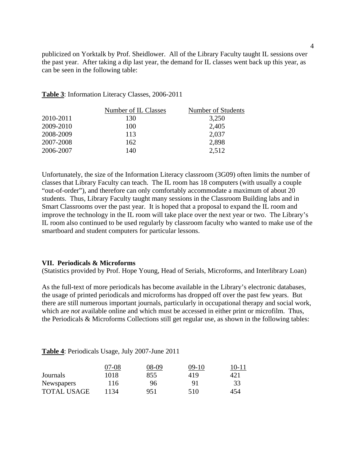publicized on Yorktalk by Prof. Sheidlower. All of the Library Faculty taught IL sessions over the past year. After taking a dip last year, the demand for IL classes went back up this year, as can be seen in the following table:

**Table 3**: Information Literacy Classes, 2006-2011

|           | Number of IL Classes | Number of Students |
|-----------|----------------------|--------------------|
| 2010-2011 | 130                  | 3,250              |
| 2009-2010 | 100                  | 2,405              |
| 2008-2009 | 113                  | 2,037              |
| 2007-2008 | 162                  | 2,898              |
| 2006-2007 | 140                  | 2.512              |

Unfortunately, the size of the Information Literacy classroom (3G09) often limits the number of classes that Library Faculty can teach. The IL room has 18 computers (with usually a couple "out-of-order"), and therefore can only comfortably accommodate a maximum of about 20 students. Thus, Library Faculty taught many sessions in the Classroom Building labs and in Smart Classrooms over the past year. It is hoped that a proposal to expand the IL room and improve the technology in the IL room will take place over the next year or two. The Library's IL room also continued to be used regularly by classroom faculty who wanted to make use of the smartboard and student computers for particular lessons.

#### **VII. Periodicals & Microforms**

(Statistics provided by Prof. Hope Young, Head of Serials, Microforms, and Interlibrary Loan)

As the full-text of more periodicals has become available in the Library's electronic databases, the usage of printed periodicals and microforms has dropped off over the past few years. But there are still numerous important journals, particularly in occupational therapy and social work, which are *not* available online and which must be accessed in either print or microfilm. Thus, the Periodicals & Microforms Collections still get regular use, as shown in the following tables:

|                    | 07-08 | 08-09 | $09-10$ | $10 - 11$ |
|--------------------|-------|-------|---------|-----------|
| Journals           | 1018  | 855   | 419     | 421       |
| <b>Newspapers</b>  | 116   | 96    | 91      | 33        |
| <b>TOTAL USAGE</b> | 1134  | 951   | 510     | 454       |

**Table 4**: Periodicals Usage, July 2007-June 2011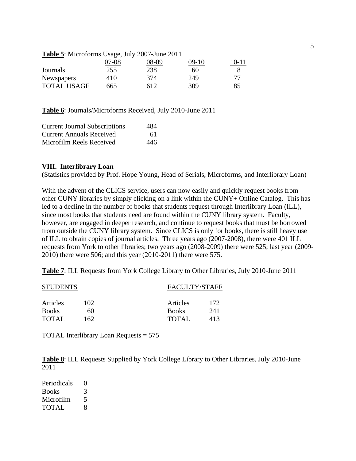| <b>Table 5</b> : Microforms Usage, July 2007-June 2011 |
|--------------------------------------------------------|
|--------------------------------------------------------|

|                    | 07-08 | 08-09 | $09-10$ | $10 - 11$ |
|--------------------|-------|-------|---------|-----------|
| Journals           | 255   | 238   | 60      |           |
| <b>Newspapers</b>  | 410   | 374   | 249     |           |
| <b>TOTAL USAGE</b> | 665   | 612   | 309     | 85        |

**Table 6**: Journals/Microforms Received, July 2010-June 2011

| <b>Current Journal Subscriptions</b> | 484 |
|--------------------------------------|-----|
| <b>Current Annuals Received</b>      | 61  |
| Microfilm Reels Received             | 446 |

#### **VIII. Interlibrary Loan**

(Statistics provided by Prof. Hope Young, Head of Serials, Microforms, and Interlibrary Loan)

With the advent of the CLICS service, users can now easily and quickly request books from other CUNY libraries by simply clicking on a link within the CUNY+ Online Catalog. This has led to a decline in the number of books that students request through Interlibrary Loan (ILL), since most books that students need are found within the CUNY library system. Faculty, however, are engaged in deeper research, and continue to request books that must be borrowed from outside the CUNY library system. Since CLICS is only for books, there is still heavy use of ILL to obtain copies of journal articles. Three years ago (2007-2008), there were 401 ILL requests from York to other libraries; two years ago (2008-2009) there were 525; last year (2009- 2010) there were 506; and this year (2010-2011) there were 575.

**Table 7**: ILL Requests from York College Library to Other Libraries, July 2010-June 2011

| <b>STUDENTS</b> |     | FACULTY/STAFF |     |
|-----------------|-----|---------------|-----|
| Articles        | 102 | Articles      | 172 |
| <b>Books</b>    | 60  | <b>Books</b>  | 241 |
| <b>TOTAL</b>    | 162 | TOTAL         | 413 |

TOTAL Interlibrary Loan Requests = 575

**Table 8**: ILL Requests Supplied by York College Library to Other Libraries, July 2010-June 2011

| Periodicals  | 0 |
|--------------|---|
| <b>Books</b> | 3 |
| Microfilm    | 5 |
| <b>TOTAL</b> | 8 |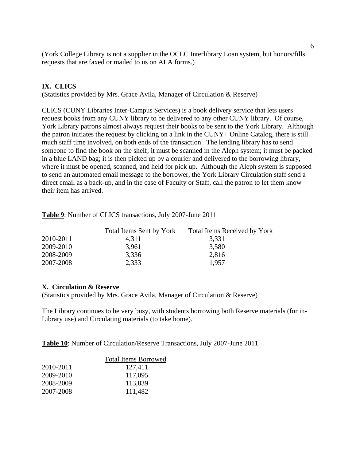(York College Library is not a supplier in the OCLC Interlibrary Loan system, but honors/fills requests that are faxed or mailed to us on ALA forms.)

## **IX. CLICS**

(Statistics provided by Mrs. Grace Avila, Manager of Circulation & Reserve)

CLICS (CUNY Libraries Inter-Campus Services) is a book delivery service that lets users request books from any CUNY library to be delivered to any other CUNY library. Of course, York Library patrons almost always request their books to be sent to the York Library. Although the patron initiates the request by clicking on a link in the CUNY+ Online Catalog, there is still much staff time involved, on both ends of the transaction. The lending library has to send someone to find the book on the shelf; it must be scanned in the Aleph system; it must be packed in a blue LAND bag; it is then picked up by a courier and delivered to the borrowing library, where it must be opened, scanned, and held for pick up. Although the Aleph system is supposed to send an automated email message to the borrower, the York Library Circulation staff send a direct email as a back-up, and in the case of Faculty or Staff, call the patron to let them know their item has arrived.

|           | Total Items Sent by York | <b>Total Items Received by York</b> |
|-----------|--------------------------|-------------------------------------|
| 2010-2011 | 4.311                    | 3.331                               |
| 2009-2010 | 3,961                    | 3,580                               |
| 2008-2009 | 3.336                    | 2,816                               |
| 2007-2008 | 2.333                    | 1.957                               |

**Table 9**: Number of CLICS transactions, July 2007-June 2011

#### **X. Circulation & Reserve**

(Statistics provided by Mrs. Grace Avila, Manager of Circulation & Reserve)

The Library continues to be very busy, with students borrowing both Reserve materials (for in-Library use) and Circulating materials (to take home).

**Table 10**: Number of Circulation/Reserve Transactions, July 2007-June 2011

| <b>Total Items Borrowed</b> |
|-----------------------------|
| 127,411                     |
| 117,095                     |
| 113,839                     |
| 111,482                     |
|                             |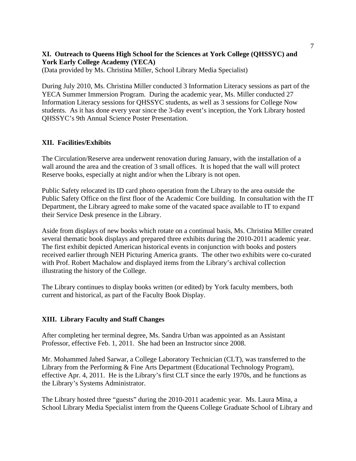# **XI. Outreach to Queens High School for the Sciences at York College (QHSSYC) and York Early College Academy (YECA)**

(Data provided by Ms. Christina Miller, School Library Media Specialist)

During July 2010, Ms. Christina Miller conducted 3 Information Literacy sessions as part of the YECA Summer Immersion Program. During the academic year, Ms. Miller conducted 27 Information Literacy sessions for QHSSYC students, as well as 3 sessions for College Now students. As it has done every year since the 3-day event's inception, the York Library hosted QHSSYC's 9th Annual Science Poster Presentation.

# **XII. Facilities/Exhibits**

The Circulation/Reserve area underwent renovation during January, with the installation of a wall around the area and the creation of 3 small offices. It is hoped that the wall will protect Reserve books, especially at night and/or when the Library is not open.

Public Safety relocated its ID card photo operation from the Library to the area outside the Public Safety Office on the first floor of the Academic Core building. In consultation with the IT Department, the Library agreed to make some of the vacated space available to IT to expand their Service Desk presence in the Library.

Aside from displays of new books which rotate on a continual basis, Ms. Christina Miller created several thematic book displays and prepared three exhibits during the 2010-2011 academic year. The first exhibit depicted American historical events in conjunction with books and posters received earlier through NEH Picturing America grants. The other two exhibits were co-curated with Prof. Robert Machalow and displayed items from the Library's archival collection illustrating the history of the College.

The Library continues to display books written (or edited) by York faculty members, both current and historical, as part of the Faculty Book Display.

# **XIII. Library Faculty and Staff Changes**

After completing her terminal degree, Ms. Sandra Urban was appointed as an Assistant Professor, effective Feb. 1, 2011. She had been an Instructor since 2008.

Mr. Mohammed Jahed Sarwar, a College Laboratory Technician (CLT), was transferred to the Library from the Performing & Fine Arts Department (Educational Technology Program), effective Apr. 4, 2011. He is the Library's first CLT since the early 1970s, and he functions as the Library's Systems Administrator.

The Library hosted three "guests" during the 2010-2011 academic year. Ms. Laura Mina, a School Library Media Specialist intern from the Queens College Graduate School of Library and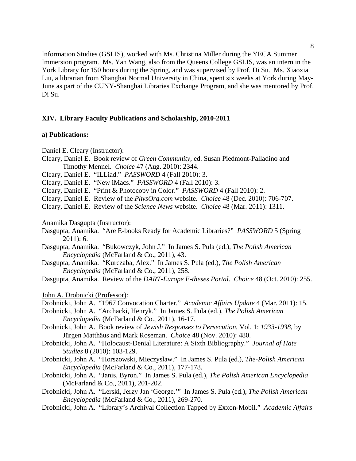Information Studies (GSLIS), worked with Ms. Christina Miller during the YECA Summer Immersion program. Ms. Yan Wang, also from the Queens College GSLIS, was an intern in the York Library for 150 hours during the Spring, and was supervised by Prof. Di Su. Ms. Xiaoxia Liu, a librarian from Shanghai Normal University in China, spent six weeks at York during May-June as part of the CUNY-Shanghai Libraries Exchange Program, and she was mentored by Prof. Di Su.

#### **XIV. Library Faculty Publications and Scholarship, 2010-2011**

#### **a) Publications:**

Daniel E. Cleary (Instructor):

- Cleary, Daniel E. Book review of *Green Community*, ed. Susan Piedmont-Palladino and Timothy Mennel. *Choice* 47 (Aug. 2010): 2344.
- Cleary, Daniel E. "ILLiad." *PASSWORD* 4 (Fall 2010): 3.
- Cleary, Daniel E. "New iMacs." *PASSWORD* 4 (Fall 2010): 3.
- Cleary, Daniel E. "Print & Photocopy in Color." *PASSWORD* 4 (Fall 2010): 2.
- Cleary, Daniel E. Review of the *PhysOrg.com* website. *Choice* 48 (Dec. 2010): 706-707.
- Cleary, Daniel E. Review of the *Science News* website. *Choice* 48 (Mar. 2011): 1311.

Anamika Dasgupta (Instructor):

- Dasgupta, Anamika. "Are E-books Ready for Academic Libraries?" *PASSWORD* 5 (Spring 2011): 6.
- Dasgupta, Anamika. "Bukowczyk, John J." In James S. Pula (ed.), *The Polish American Encyclopedia* (McFarland & Co., 2011), 43.
- Dasgupta, Anamika. "Kurczaba, Alex." In James S. Pula (ed.), *The Polish American Encyclopedia* (McFarland & Co., 2011), 258.

Dasgupta, Anamika. Review of the *DART-Europe E-theses Portal*. *Choice* 48 (Oct. 2010): 255.

John A. Drobnicki (Professor):

Drobnicki, John A. "1967 Convocation Charter." *Academic Affairs Update* 4 (Mar. 2011): 15.

- Drobnicki, John A. "Archacki, Henryk." In James S. Pula (ed.), *The Polish American Encyclopedia* (McFarland & Co., 2011), 16-17.
- Drobnicki, John A. Book review of *Jewish Responses to Persecution*, Vol. 1: *1933-1938*, by Jürgen Matthäus and Mark Roseman. *Choice* 48 (Nov. 2010): 480.
- Drobnicki, John A. "Holocaust-Denial Literature: A Sixth Bibliography." *Journal of Hate Studies* 8 (2010): 103-129.
- Drobnicki, John A. "Horszowski, Mieczyslaw." In James S. Pula (ed.), *The-Polish American Encyclopedia* (McFarland & Co., 2011), 177-178.
- Drobnicki, John A. "Janis, Byron." In James S. Pula (ed.), *The Polish American Encyclopedia* (McFarland & Co., 2011), 201-202.
- Drobnicki, John A. "Lerski, Jerzy Jan 'George.'" In James S. Pula (ed.), *The Polish American Encyclopedia* (McFarland & Co., 2011), 269-270.
- Drobnicki, John A. "Library's Archival Collection Tapped by Exxon-Mobil." *Academic Affairs*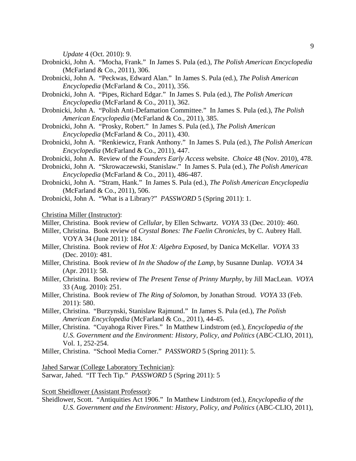*Update* 4 (Oct. 2010): 9.

- Drobnicki, John A. "Mocha, Frank." In James S. Pula (ed.), *The Polish American Encyclopedia* (McFarland & Co., 2011), 306.
- Drobnicki, John A. "Peckwas, Edward Alan." In James S. Pula (ed.), *The Polish American Encyclopedia* (McFarland & Co., 2011), 356.
- Drobnicki, John A. "Pipes, Richard Edgar." In James S. Pula (ed.), *The Polish American Encyclopedia* (McFarland & Co., 2011), 362.
- Drobnicki, John A. "Polish Anti-Defamation Committee." In James S. Pula (ed.), *The Polish American Encyclopedia* (McFarland & Co., 2011), 385.
- Drobnicki, John A. "Prosky, Robert." In James S. Pula (ed.), *The Polish American Encyclopedia* (McFarland & Co., 2011), 430.
- Drobnicki, John A. "Renkiewicz, Frank Anthony." In James S. Pula (ed.), *The Polish American Encyclopedia* (McFarland & Co., 2011), 447.
- Drobnicki, John A. Review of the *Founders Early Access* website. *Choice* 48 (Nov. 2010), 478.
- Drobnicki, John A. "Skrowaczewski, Stanislaw." In James S. Pula (ed.), *The Polish American Encyclopedia* (McFarland & Co., 2011), 486-487.
- Drobnicki, John A. "Stram, Hank." In James S. Pula (ed.), *The Polish American Encyclopedia* (McFarland & Co., 2011), 506.
- Drobnicki, John A. "What is a Library?" *PASSWORD* 5 (Spring 2011): 1.

Christina Miller (Instructor):

Miller, Christina. Book review of *Cellular*, by Ellen Schwartz. *VOYA* 33 (Dec. 2010): 460.

- Miller, Christina. Book review of *Crystal Bones: The Faelin Chronicles*, by C. Aubrey Hall. VOYA 34 (June 2011): 184.
- Miller, Christina. Book review of *Hot X: Algebra Exposed*, by Danica McKellar. *VOYA* 33 (Dec. 2010): 481.
- Miller, Christina. Book review of *In the Shadow of the Lamp*, by Susanne Dunlap. *VOYA* 34 (Apr. 2011): 58.
- Miller, Christina. Book review of *The Present Tense of Prinny Murphy*, by Jill MacLean. *VOYA* 33 (Aug. 2010): 251.
- Miller, Christina. Book review of *The Ring of Solomon*, by Jonathan Stroud. *VOYA* 33 (Feb. 2011): 580.
- Miller, Christina. "Burzynski, Stanislaw Rajmund." In James S. Pula (ed.), *The Polish American Encyclopedia* (McFarland & Co., 2011), 44-45.
- Miller, Christina. "Cuyahoga River Fires." In Matthew Lindstrom (ed.), *Encyclopedia of the U.S. Government and the Environment: History, Policy, and Politics* (ABC-CLIO, 2011), Vol. 1, 252-254.
- Miller, Christina. "School Media Corner." *PASSWORD* 5 (Spring 2011): 5.

Jahed Sarwar (College Laboratory Technician): Sarwar, Jahed. "IT Tech Tip." *PASSWORD* 5 (Spring 2011): 5

Scott Sheidlower (Assistant Professor):

Sheidlower, Scott. "Antiquities Act 1906." In Matthew Lindstrom (ed.), *Encyclopedia of the U.S. Government and the Environment: History, Policy, and Politics* (ABC-CLIO, 2011),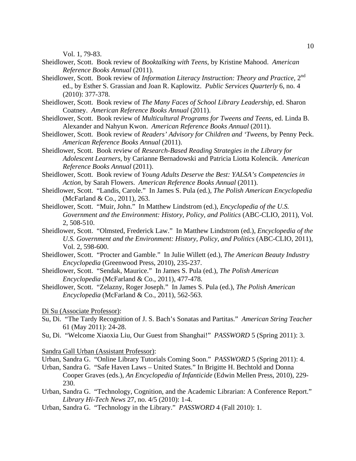Vol. 1, 79-83.

- Sheidlower, Scott. Book review of *Booktalking with Teens*, by Kristine Mahood. *American Reference Books Annual* (2011).
- Sheidlower, Scott. Book review of *Information Literacy Instruction: Theory and Practice*, 2<sup>nd</sup> ed., by Esther S. Grassian and Joan R. Kaplowitz. *Public Services Quarterly* 6, no. 4 (2010): 377-378.
- Sheidlower, Scott. Book review of *The Many Faces of School Library Leadership*, ed. Sharon Coatney. *American Reference Books Annual* (2011).
- Sheidlower, Scott. Book review of *Multicultural Programs for Tweens and Teens*, ed. Linda B. Alexander and Nahyun Kwon. *American Reference Books Annual* (2011).
- Sheidlower, Scott. Book review of *Readers' Advisory for Children and 'Tweens*, by Penny Peck. *American Reference Books Annual* (2011).
- Sheidlower, Scott. Book review of *Research-Based Reading Strategies in the Library for Adolescent Learners*, by Carianne Bernadowski and Patricia Liotta Kolencik. *American Reference Books Annual* (2011).
- Sheidlower, Scott. Book review of *Young Adults Deserve the Best: YALSA's Competencies in Action*, by Sarah Flowers. *American Reference Books Annual* (2011).
- Sheidlower, Scott. "Landis, Carole." In James S. Pula (ed.), *The Polish American Encyclopedia* (McFarland & Co., 2011), 263.
- Sheidlower, Scott. "Muir, John." In Matthew Lindstrom (ed.), *Encyclopedia of the U.S. Government and the Environment: History, Policy, and Politics* (ABC-CLIO, 2011), Vol. 2, 508-510.
- Sheidlower, Scott. "Olmsted, Frederick Law." In Matthew Lindstrom (ed.), *Encyclopedia of the U.S. Government and the Environment: History, Policy, and Politics* (ABC-CLIO, 2011), Vol. 2, 598-600.
- Sheidlower, Scott. "Procter and Gamble." In Julie Willett (ed.), *The American Beauty Industry Encyclopedia* (Greenwood Press, 2010), 235-237.
- Sheidlower, Scott. "Sendak, Maurice." In James S. Pula (ed.), *The Polish American Encyclopedia* (McFarland & Co., 2011), 477-478.
- Sheidlower, Scott. "Zelazny, Roger Joseph." In James S. Pula (ed.), *The Polish American Encyclopedia* (McFarland & Co., 2011), 562-563.
- Di Su (Associate Professor):
- Su, Di. "The Tardy Recognition of J. S. Bach's Sonatas and Partitas." *American String Teacher* 61 (May 2011): 24-28.
- Su, Di. "Welcome Xiaoxia Liu, Our Guest from Shanghai!" *PASSWORD* 5 (Spring 2011): 3.

#### Sandra Gall Urban (Assistant Professor):

- Urban, Sandra G. "Online Library Tutorials Coming Soon." *PASSWORD* 5 (Spring 2011): 4.
- Urban, Sandra G. "Safe Haven Laws United States." In Brigitte H. Bechtold and Donna Cooper Graves (eds.), *An Encyclopedia of Infanticide* (Edwin Mellen Press, 2010), 229- 230.
- Urban, Sandra G. "Technology, Cognition, and the Academic Librarian: A Conference Report." *Library Hi-Tech News* 27, no. 4/5 (2010): 1-4.
- Urban, Sandra G. "Technology in the Library." *PASSWORD* 4 (Fall 2010): 1.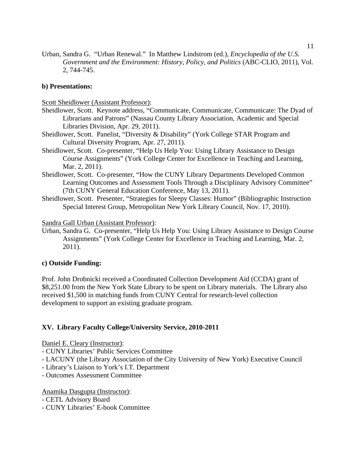Urban, Sandra G. "Urban Renewal." In Matthew Lindstrom (ed.), *Encyclopedia of the U.S. Government and the Environment: History, Policy, and Politics* (ABC-CLIO, 2011), Vol. 2, 744-745.

### **b) Presentations:**

Scott Sheidlower (Assistant Professor):

- Sheidlower, Scott. Keynote address, "Communicate, Communicate, Communicate: The Dyad of Librarians and Patrons" (Nassau County Library Association, Academic and Special Libraries Division, Apr. 29, 2011).
- Sheidlower, Scott. Panelist, "Diversity & Disability" (York College STAR Program and Cultural Diversity Program, Apr. 27, 2011).
- Sheidlower, Scott. Co-presenter, "Help Us Help You: Using Library Assistance to Design Course Assignments" (York College Center for Excellence in Teaching and Learning, Mar. 2, 2011).
- Sheidlower, Scott. Co-presenter, "How the CUNY Library Departments Developed Common Learning Outcomes and Assessment Tools Through a Disciplinary Advisory Committee" (7th CUNY General Education Conference, May 13, 2011).
- Sheidlower, Scott. Presenter, "Strategies for Sleepy Classes: Humor" (Bibliographic Instruction Special Interest Group, Metropolitan New York Library Council, Nov. 17, 2010).

Sandra Gall Urban (Assistant Professor):

Urban, Sandra G. Co-presenter, "Help Us Help You: Using Library Assistance to Design Course Assignments" (York College Center for Excellence in Teaching and Learning, Mar. 2, 2011).

#### **c) Outside Funding:**

Prof. John Drobnicki received a Coordinated Collection Development Aid (CCDA) grant of \$8,251.00 from the New York State Library to be spent on Library materials. The Library also received \$1,500 in matching funds from CUNY Central for research-level collection development to support an existing graduate program.

#### **XV. Library Faculty College/University Service, 2010-2011**

Daniel E. Cleary (Instructor):

- CUNY Libraries' Public Services Committee
- LACUNY (the Library Association of the City University of New York) Executive Council
- Library's Liaison to York's I.T. Department
- Outcomes Assessment Committee

#### Anamika Dasgupta (Instructor):

- CETL Advisory Board
- CUNY Libraries' E-book Committee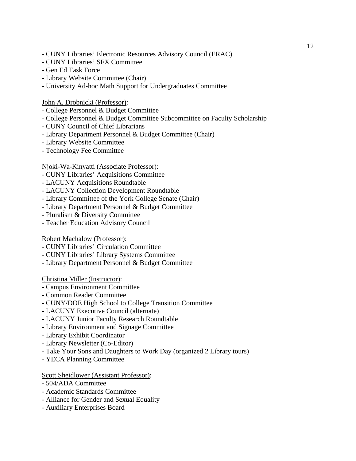- CUNY Libraries' Electronic Resources Advisory Council (ERAC)
- CUNY Libraries' SFX Committee
- Gen Ed Task Force
- Library Website Committee (Chair)
- University Ad-hoc Math Support for Undergraduates Committee

John A. Drobnicki (Professor):

- College Personnel & Budget Committee
- College Personnel & Budget Committee Subcommittee on Faculty Scholarship
- CUNY Council of Chief Librarians
- Library Department Personnel & Budget Committee (Chair)
- Library Website Committee
- Technology Fee Committee

#### Njoki-Wa-Kinyatti (Associate Professor):

- CUNY Libraries' Acquisitions Committee
- LACUNY Acquisitions Roundtable
- LACUNY Collection Development Roundtable
- Library Committee of the York College Senate (Chair)
- Library Department Personnel & Budget Committee
- Pluralism & Diversity Committee
- Teacher Education Advisory Council

#### Robert Machalow (Professor):

- CUNY Libraries' Circulation Committee
- CUNY Libraries' Library Systems Committee
- Library Department Personnel & Budget Committee

#### Christina Miller (Instructor):

- Campus Environment Committee
- Common Reader Committee
- CUNY/DOE High School to College Transition Committee
- LACUNY Executive Council (alternate)
- LACUNY Junior Faculty Research Roundtable
- Library Environment and Signage Committee
- Library Exhibit Coordinator
- Library Newsletter (Co-Editor)
- Take Your Sons and Daughters to Work Day (organized 2 Library tours)
- YECA Planning Committee

#### Scott Sheidlower (Assistant Professor):

- 504/ADA Committee
- Academic Standards Committee
- Alliance for Gender and Sexual Equality
- Auxiliary Enterprises Board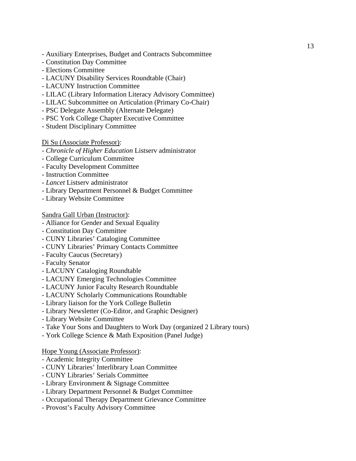- Auxiliary Enterprises, Budget and Contracts Subcommittee
- Constitution Day Committee
- Elections Committee
- LACUNY Disability Services Roundtable (Chair)
- LACUNY Instruction Committee
- LILAC (Library Information Literacy Advisory Committee)
- LILAC Subcommittee on Articulation (Primary Co-Chair)
- PSC Delegate Assembly (Alternate Delegate)
- PSC York College Chapter Executive Committee
- Student Disciplinary Committee

#### Di Su (Associate Professor):

- *Chronicle of Higher Education* Listserv administrator
- College Curriculum Committee
- Faculty Development Committee
- Instruction Committee
- *Lancet* Listserv administrator
- Library Department Personnel & Budget Committee
- Library Website Committee

#### Sandra Gall Urban (Instructor):

- Alliance for Gender and Sexual Equality
- Constitution Day Committee
- CUNY Libraries' Cataloging Committee
- CUNY Libraries' Primary Contacts Committee
- Faculty Caucus (Secretary)
- Faculty Senator
- LACUNY Cataloging Roundtable
- LACUNY Emerging Technologies Committee
- LACUNY Junior Faculty Research Roundtable
- LACUNY Scholarly Communications Roundtable
- Library liaison for the York College Bulletin
- Library Newsletter (Co-Editor, and Graphic Designer)
- Library Website Committee
- Take Your Sons and Daughters to Work Day (organized 2 Library tours)
- York College Science & Math Exposition (Panel Judge)

#### Hope Young (Associate Professor):

- Academic Integrity Committee
- CUNY Libraries' Interlibrary Loan Committee
- CUNY Libraries' Serials Committee
- Library Environment & Signage Committee
- Library Department Personnel & Budget Committee
- Occupational Therapy Department Grievance Committee
- Provost's Faculty Advisory Committee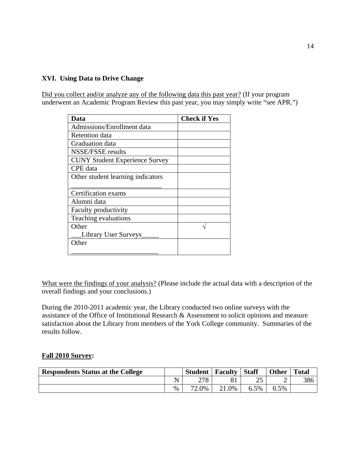## **XVI. Using Data to Drive Change**

Did you collect and/or analyze any of the following data this past year? (If your program underwent an Academic Program Review this past year, you may simply write "see APR.")

| Data                                  | <b>Check if Yes</b> |
|---------------------------------------|---------------------|
| Admissions/Enrollment data            |                     |
| Retention data                        |                     |
| Graduation data                       |                     |
| NSSE/FSSE results                     |                     |
| <b>CUNY Student Experience Survey</b> |                     |
| CPE data                              |                     |
| Other student learning indicators     |                     |
|                                       |                     |
| Certification exams                   |                     |
| Alumni data                           |                     |
| Faculty productivity                  |                     |
| Teaching evaluations                  |                     |
| Other                                 |                     |
| <b>Library User Surveys</b>           |                     |
| Other                                 |                     |
|                                       |                     |

What were the findings of your analysis? (Please include the actual data with a description of the overall findings and your conclusions.)

During the 2010-2011 academic year, the Library conducted two online surveys with the assistance of the Office of Institutional Research & Assessment to solicit opinions and measure satisfaction about the Library from members of the York College community. Summaries of the results follow.

#### **Fall 2010 Survey:**

| <b>Respondents Status at the College</b> |      | <b>Student</b> | <b>Faculty</b> | <b>Staff</b> | <b>Other</b> | <b>Total</b> |
|------------------------------------------|------|----------------|----------------|--------------|--------------|--------------|
|                                          |      | 278            |                |              | ∽            | 386          |
|                                          | $\%$ | 2.0%           | $\angle 1.0\%$ | 6.5%         | 0.5%         |              |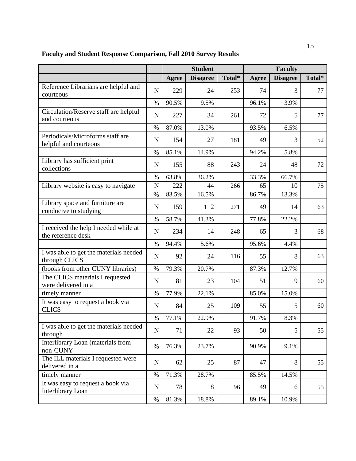# **Faculty and Student Response Comparison, Fall 2010 Survey Results**

|                                                               |             | <b>Student</b> |                 |        | <b>Faculty</b> |                 |        |  |
|---------------------------------------------------------------|-------------|----------------|-----------------|--------|----------------|-----------------|--------|--|
|                                                               |             | Agree          | <b>Disagree</b> | Total* | Agree          | <b>Disagree</b> | Total* |  |
| Reference Librarians are helpful and<br>courteous             | $\mathbf N$ | 229            | 24              | 253    | 74             | 3               | 77     |  |
|                                                               | $\%$        | 90.5%          | 9.5%            |        | 96.1%          | 3.9%            |        |  |
| Circulation/Reserve staff are helpful<br>and courteous        | $\mathbf N$ | 227            | 34              | 261    | 72             | 5               | 77     |  |
|                                                               | $\%$        | 87.0%          | 13.0%           |        | 93.5%          | 6.5%            |        |  |
| Periodicals/Microforms staff are<br>helpful and courteous     | $\mathbf N$ | 154            | 27              | 181    | 49             | 3               | 52     |  |
|                                                               | $\%$        | 85.1%          | 14.9%           |        | 94.2%          | 5.8%            |        |  |
| Library has sufficient print<br>collections                   | $\mathbf N$ | 155            | 88              | 243    | 24             | 48              | 72     |  |
|                                                               | $\%$        | 63.8%          | 36.2%           |        | 33.3%          | 66.7%           |        |  |
| Library website is easy to navigate                           | $\mathbf N$ | 222            | 44              | 266    | 65             | 10              | 75     |  |
|                                                               | %           | 83.5%          | 16.5%           |        | 86.7%          | 13.3%           |        |  |
| Library space and furniture are<br>conducive to studying      | $\mathbf N$ | 159            | 112             | 271    | 49             | 14              | 63     |  |
|                                                               | $\%$        | 58.7%          | 41.3%           |        | 77.8%          | 22.2%           |        |  |
| I received the help I needed while at<br>the reference desk   | $\mathbf N$ | 234            | 14              | 248    | 65             | 3               | 68     |  |
|                                                               | $\%$        | 94.4%          | 5.6%            |        | 95.6%          | 4.4%            |        |  |
| I was able to get the materials needed<br>through CLICS       | ${\bf N}$   | 92             | 24              | 116    | 55             | 8               | 63     |  |
| (books from other CUNY libraries)                             | $\%$        | 79.3%          | 20.7%           |        | 87.3%          | 12.7%           |        |  |
| The CLICS materials I requested<br>were delivered in a        | $\mathbf N$ | 81             | 23              | 104    | 51             | 9               | 60     |  |
| timely manner                                                 | $\%$        | 77.9%          | 22.1%           |        | 85.0%          | 15.0%           |        |  |
| It was easy to request a book via<br><b>CLICS</b>             | $\mathbf N$ | 84             | 25              | 109    | 55             | 5               | 60     |  |
|                                                               | $\%$        | 77.1%          | 22.9%           |        | 91.7%          | 8.3%            |        |  |
| I was able to get the materials needed<br>through             | ${\bf N}$   | 71             | 22              | 93     | 50             | 5               | 55     |  |
| Interlibrary Loan (materials from<br>non-CUNY                 | $\%$        | 76.3%          | 23.7%           |        | 90.9%          | 9.1%            |        |  |
| The ILL materials I requested were<br>delivered in a          | ${\bf N}$   | 62             | 25              | 87     | 47             | 8               | 55     |  |
| timely manner                                                 | $\%$        | 71.3%          | 28.7%           |        | 85.5%          | 14.5%           |        |  |
| It was easy to request a book via<br><b>Interlibrary Loan</b> | $\mathbf N$ | 78             | 18              | 96     | 49             | 6               | 55     |  |
|                                                               | $\%$        | 81.3%          | 18.8%           |        | 89.1%          | 10.9%           |        |  |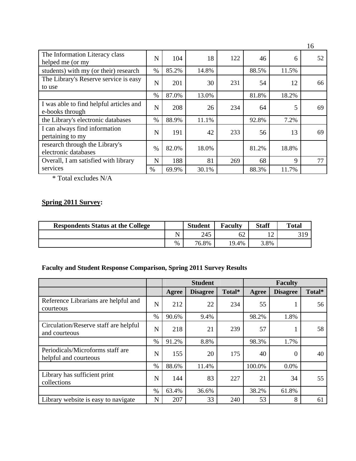| The Information Literacy class<br>helped me (or my         | N    | 104   | 18    | 122 | 46    | 6     | 52 |
|------------------------------------------------------------|------|-------|-------|-----|-------|-------|----|
| students) with my (or their) research                      | $\%$ | 85.2% | 14.8% |     | 88.5% | 11.5% |    |
| The Library's Reserve service is easy<br>to use            | N    | 201   | 30    | 231 | 54    | 12    | 66 |
|                                                            | $\%$ | 87.0% | 13.0% |     | 81.8% | 18.2% |    |
| I was able to find helpful articles and<br>e-books through | N    | 208   | 26    | 234 | 64    | 5     | 69 |
| the Library's electronic databases                         | $\%$ | 88.9% | 11.1% |     | 92.8% | 7.2%  |    |
| I can always find information<br>pertaining to my          | N    | 191   | 42    | 233 | 56    | 13    | 69 |
| research through the Library's<br>electronic databases     | $\%$ | 82.0% | 18.0% |     | 81.2% | 18.8% |    |
| Overall, I am satisfied with library                       | N    | 188   | 81    | 269 | 68    | 9     | 77 |
| services                                                   | $\%$ | 69.9% | 30.1% |     | 88.3% | 11.7% |    |

\* Total excludes N/A

# **Spring 2011 Survey:**

| <b>Respondents Status at the College</b> |   | <b>Student</b> | <b>Faculty</b> | <b>Staff</b>             | <b>Total</b> |
|------------------------------------------|---|----------------|----------------|--------------------------|--------------|
|                                          |   | 245            | 62             | $\sim$<br>$\overline{1}$ | 319          |
|                                          | % | 76.8%          | 19.4%          | 3.8%                     |              |

# **Faculty and Student Response Comparison, Spring 2011 Survey Results**

|                                                           |      | <b>Student</b> |                 |        | <b>Faculty</b> |                 |        |  |
|-----------------------------------------------------------|------|----------------|-----------------|--------|----------------|-----------------|--------|--|
|                                                           |      | Agree          | <b>Disagree</b> | Total* | Agree          | <b>Disagree</b> | Total* |  |
| Reference Librarians are helpful and<br>courteous         | N    | 212            | 22              | 234    | 55             |                 | 56     |  |
|                                                           | $\%$ | 90.6%          | 9.4%            |        | 98.2%          | 1.8%            |        |  |
| Circulation/Reserve staff are helpful<br>and courteous    | N    | 218            | 21              | 239    | 57             |                 | 58     |  |
|                                                           | $\%$ | 91.2%          | 8.8%            |        | 98.3%          | 1.7%            |        |  |
| Periodicals/Microforms staff are<br>helpful and courteous | N    | 155            | 20              | 175    | 40             | 0               | 40     |  |
|                                                           | $\%$ | 88.6%          | 11.4%           |        | 100.0%         | 0.0%            |        |  |
| Library has sufficient print<br>collections               | N    | 144            | 83              | 227    | 21             | 34              | 55     |  |
|                                                           | $\%$ | 63.4%          | 36.6%           |        | 38.2%          | 61.8%           |        |  |
| Library website is easy to navigate                       | N    | 207            | 33              | 240    | 53             | 8               | 61     |  |

16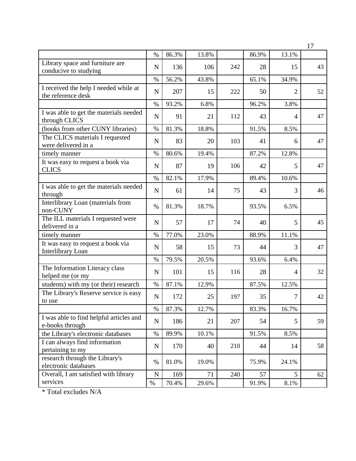|                                                               |             |       |       |     |       |                | 17 |
|---------------------------------------------------------------|-------------|-------|-------|-----|-------|----------------|----|
|                                                               | $\%$        | 86.3% | 13.8% |     | 86.9% | 13.1%          |    |
| Library space and furniture are<br>conducive to studying      | ${\bf N}$   | 136   | 106   | 242 | 28    | 15             | 43 |
|                                                               | $\%$        | 56.2% | 43.8% |     | 65.1% | 34.9%          |    |
| I received the help I needed while at<br>the reference desk   | $\mathbf N$ | 207   | 15    | 222 | 50    | $\overline{2}$ | 52 |
|                                                               | $\%$        | 93.2% | 6.8%  |     | 96.2% | 3.8%           |    |
| I was able to get the materials needed<br>through CLICS       | ${\bf N}$   | 91    | 21    | 112 | 43    | 4              | 47 |
| (books from other CUNY libraries)                             | $\%$        | 81.3% | 18.8% |     | 91.5% | 8.5%           |    |
| The CLICS materials I requested<br>were delivered in a        | ${\bf N}$   | 83    | 20    | 103 | 41    | 6              | 47 |
| timely manner                                                 | $\%$        | 80.6% | 19.4% |     | 87.2% | 12.8%          |    |
| It was easy to request a book via<br><b>CLICS</b>             | $\mathbf N$ | 87    | 19    | 106 | 42    | 5              | 47 |
|                                                               | $\%$        | 82.1% | 17.9% |     | 89.4% | 10.6%          |    |
| I was able to get the materials needed<br>through             | $\mathbf N$ | 61    | 14    | 75  | 43    | 3              | 46 |
| Interlibrary Loan (materials from<br>non-CUNY                 | $\%$        | 81.3% | 18.7% |     | 93.5% | 6.5%           |    |
| The ILL materials I requested were<br>delivered in a          | $\mathbf N$ | 57    | 17    | 74  | 40    | 5              | 45 |
| timely manner                                                 | $\%$        | 77.0% | 23.0% |     | 88.9% | 11.1%          |    |
| It was easy to request a book via<br><b>Interlibrary Loan</b> | $\mathbf N$ | 58    | 15    | 73  | 44    | 3              | 47 |
|                                                               | $\%$        | 79.5% | 20.5% |     | 93.6% | 6.4%           |    |
| The Information Literacy class<br>helped me (or my            | ${\bf N}$   | 101   | 15    | 116 | 28    | $\overline{4}$ | 32 |
| students) with my (or their) research                         | $\%$        | 87.1% | 12.9% |     | 87.5% | 12.5%          |    |
| The Library's Reserve service is easy<br>to use               | ${\bf N}$   | 172   | 25    | 197 | 35    | 7              | 42 |
|                                                               | $\%$        | 87.3% | 12.7% |     | 83.3% | 16.7%          |    |
| I was able to find helpful articles and<br>e-books through    | ${\bf N}$   | 186   | 21    | 207 | 54    | 5              | 59 |
| the Library's electronic databases                            | $\%$        | 89.9% | 10.1% |     | 91.5% | 8.5%           |    |
| I can always find information<br>pertaining to my             | ${\bf N}$   | 170   | 40    | 210 | 44    | 14             | 58 |
| research through the Library's<br>electronic databases        | $\%$        | 81.0% | 19.0% |     | 75.9% | 24.1%          |    |
| Overall, I am satisfied with library                          | ${\bf N}$   | 169   | 71    | 240 | 57    | 5              | 62 |
| services                                                      | $\%$        | 70.4% | 29.6% |     | 91.9% | $8.1\%$        |    |

\* Total excludes N/A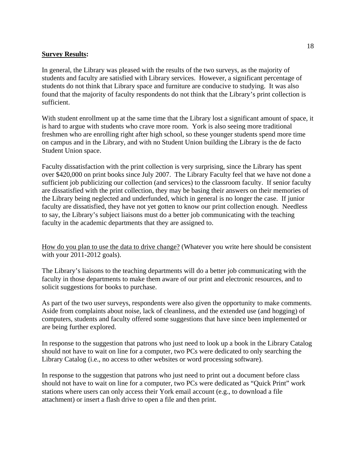### **Survey Results:**

In general, the Library was pleased with the results of the two surveys, as the majority of students and faculty are satisfied with Library services. However, a significant percentage of students do not think that Library space and furniture are conducive to studying. It was also found that the majority of faculty respondents do not think that the Library's print collection is sufficient.

With student enrollment up at the same time that the Library lost a significant amount of space, it is hard to argue with students who crave more room. York is also seeing more traditional freshmen who are enrolling right after high school, so these younger students spend more time on campus and in the Library, and with no Student Union building the Library is the de facto Student Union space.

Faculty dissatisfaction with the print collection is very surprising, since the Library has spent over \$420,000 on print books since July 2007. The Library Faculty feel that we have not done a sufficient job publicizing our collection (and services) to the classroom faculty. If senior faculty are dissatisfied with the print collection, they may be basing their answers on their memories of the Library being neglected and underfunded, which in general is no longer the case. If junior faculty are dissatisfied, they have not yet gotten to know our print collection enough. Needless to say, the Library's subject liaisons must do a better job communicating with the teaching faculty in the academic departments that they are assigned to.

How do you plan to use the data to drive change? (Whatever you write here should be consistent with your 2011-2012 goals).

The Library's liaisons to the teaching departments will do a better job communicating with the faculty in those departments to make them aware of our print and electronic resources, and to solicit suggestions for books to purchase.

As part of the two user surveys, respondents were also given the opportunity to make comments. Aside from complaints about noise, lack of cleanliness, and the extended use (and hogging) of computers, students and faculty offered some suggestions that have since been implemented or are being further explored.

In response to the suggestion that patrons who just need to look up a book in the Library Catalog should not have to wait on line for a computer, two PCs were dedicated to only searching the Library Catalog (i.e., no access to other websites or word processing software).

In response to the suggestion that patrons who just need to print out a document before class should not have to wait on line for a computer, two PCs were dedicated as "Quick Print" work stations where users can only access their York email account (e.g., to download a file attachment) or insert a flash drive to open a file and then print.